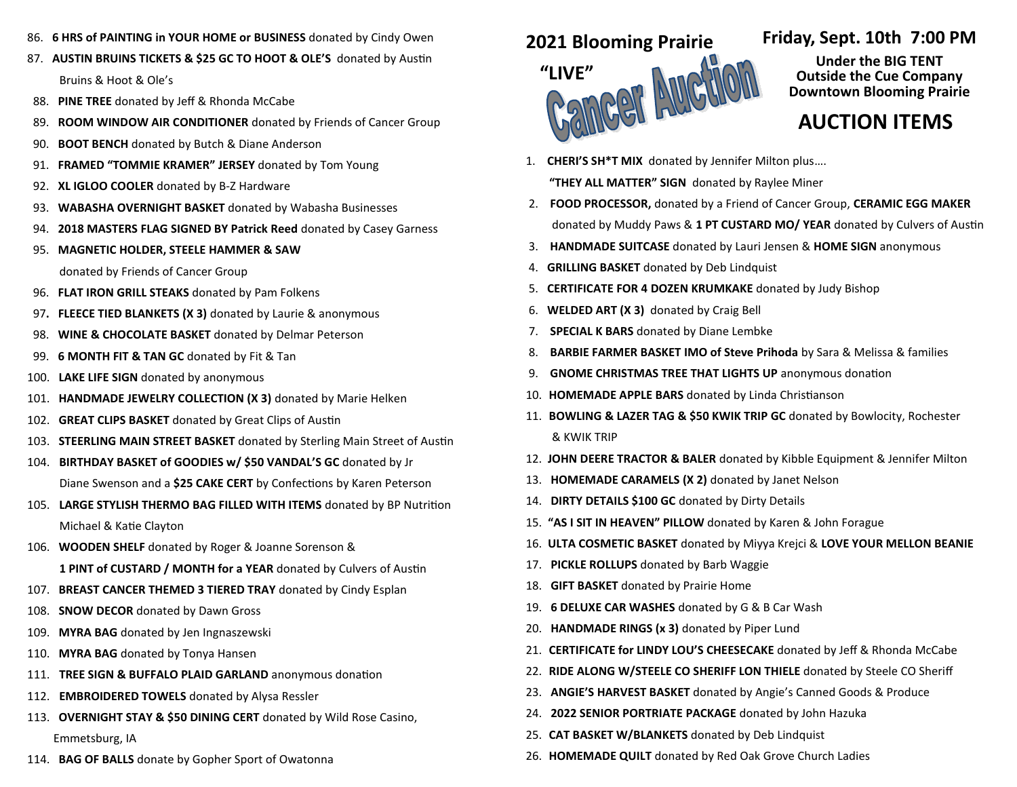- 86. **6 HRS of PAINTING in YOUR HOME or BUSINESS** donated by Cindy Owen
- 87. **AUSTIN BRUINS TICKETS & \$25 GC TO HOOT & OLE'S** donated by Austin Bruins & Hoot & Ole's
- 88. **PINE TREE** donated by Jeff & Rhonda McCabe
- 89. **ROOM WINDOW AIR CONDITIONER** donated by Friends of Cancer Group
- 90. **BOOT BENCH** donated by Butch & Diane Anderson
- 91. **FRAMED "TOMMIE KRAMER" JERSEY** donated by Tom Young
- 92. **XL IGLOO COOLER** donated by B-Z Hardware
- 93. **WABASHA OVERNIGHT BASKET** donated by Wabasha Businesses
- 94. **2018 MASTERS FLAG SIGNED BY Patrick Reed** donated by Casey Garness
- 95. **MAGNETIC HOLDER, STEELE HAMMER & SAW**

donated by Friends of Cancer Group

- 96. **FLAT IRON GRILL STEAKS** donated by Pam Folkens
- 97**. FLEECE TIED BLANKETS (X 3)** donated by Laurie & anonymous
- 98. **WINE & CHOCOLATE BASKET** donated by Delmar Peterson
- 99. **6 MONTH FIT & TAN GC** donated by Fit & Tan
- 100. **LAKE LIFE SIGN** donated by anonymous
- 101. **HANDMADE JEWELRY COLLECTION (X 3)** donated by Marie Helken
- 102. **GREAT CLIPS BASKET** donated by Great Clips of Austin
- 103. **STEERLING MAIN STREET BASKET** donated by Sterling Main Street of Austin
- 104. **BIRTHDAY BASKET of GOODIES w/ \$50 VANDAL'S GC** donated by Jr Diane Swenson and a **\$25 CAKE CERT** by Confections by Karen Peterson
- 105. **LARGE STYLISH THERMO BAG FILLED WITH ITEMS** donated by BP Nutrition Michael & Katie Clayton
- 106. **WOODEN SHELF** donated by Roger & Joanne Sorenson & **1 PINT of CUSTARD / MONTH for a YEAR** donated by Culvers of Austin
- 107. **BREAST CANCER THEMED 3 TIERED TRAY** donated by Cindy Esplan
- 108. **SNOW DECOR** donated by Dawn Gross
- 109. **MYRA BAG** donated by Jen Ingnaszewski
- 110. **MYRA BAG** donated by Tonya Hansen
- 111. **TREE SIGN & BUFFALO PLAID GARLAND** anonymous donation
- 112. **EMBROIDERED TOWELS** donated by Alysa Ressler
- 113. **OVERNIGHT STAY & \$50 DINING CERT** donated by Wild Rose Casino, Emmetsburg, IA
- 114. **BAG OF BALLS** donate by Gopher Sport of Owatonna

## **2021 Blooming Prairie**



## **Friday, Sept. 10th 7:00 PM**

**Under the BIG TENT Outside the Cue Company Downtown Blooming Prairie** 

## **AUCTION ITEMS**

- 1. **CHERI'S SH\*T MIX** donated by Jennifer Milton plus…. **"THEY ALL MATTER" SIGN** donated by Raylee Miner
- 2. **FOOD PROCESSOR,** donated by a Friend of Cancer Group, **CERAMIC EGG MAKER**  donated by Muddy Paws & **1 PT CUSTARD MO/ YEAR** donated by Culvers of Austin
- 3. **HANDMADE SUITCASE** donated by Lauri Jensen & **HOME SIGN** anonymous
- 4. **GRILLING BASKET** donated by Deb Lindquist
- 5. **CERTIFICATE FOR 4 DOZEN KRUMKAKE** donated by Judy Bishop
- 6. **WELDED ART (X 3)** donated by Craig Bell
- 7. **SPECIAL K BARS** donated by Diane Lembke
- 8. **BARBIE FARMER BASKET IMO of Steve Prihoda** by Sara & Melissa & families
- 9. **GNOME CHRISTMAS TREE THAT LIGHTS UP** anonymous donation
- 10. **HOMEMADE APPLE BARS** donated by Linda Christianson
- 11. **BOWLING & LAZER TAG & \$50 KWIK TRIP GC** donated by Bowlocity, Rochester & KWIK TRIP
- 12. **JOHN DEERE TRACTOR & BALER** donated by Kibble Equipment & Jennifer Milton
- 13. **HOMEMADE CARAMELS (X 2)** donated by Janet Nelson
- 14. **DIRTY DETAILS \$100 GC** donated by Dirty Details
- 15. **"AS I SIT IN HEAVEN" PILLOW** donated by Karen & John Forague
- 16. **ULTA COSMETIC BASKET** donated by Miyya Krejci & **LOVE YOUR MELLON BEANIE**
- 17. **PICKLE ROLLUPS** donated by Barb Waggie
- 18. **GIFT BASKET** donated by Prairie Home
- 19. **6 DELUXE CAR WASHES** donated by G & B Car Wash
- 20. **HANDMADE RINGS (x 3)** donated by Piper Lund
- 21. **CERTIFICATE for LINDY LOU'S CHEESECAKE** donated by Jeff & Rhonda McCabe
- 22. **RIDE ALONG W/STEELE CO SHERIFF LON THIELE** donated by Steele CO Sheriff
- 23. **ANGIE'S HARVEST BASKET** donated by Angie's Canned Goods & Produce
- 24. **2022 SENIOR PORTRIATE PACKAGE** donated by John Hazuka
- 25. **CAT BASKET W/BLANKETS** donated by Deb Lindquist
- 26. **HOMEMADE QUILT** donated by Red Oak Grove Church Ladies